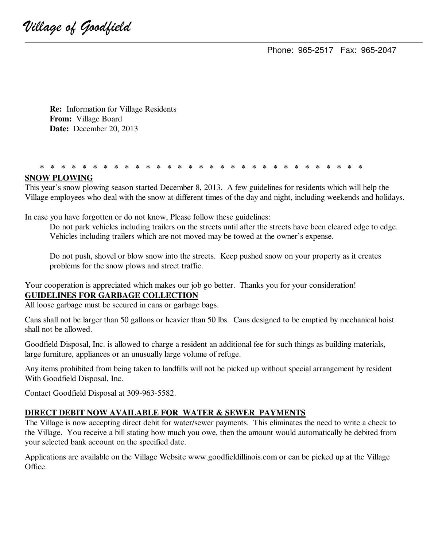Phone: 965-2517 Fax: 965-2047

 **Re:** Information for Village Residents **From:** Village Board  **Date:** December 20, 2013

#### **\* \* \* \* \* \* \* \* \* \* \* \* \* \* \* \* \* \* \* \* \* \* \* \* \* \* \* \* \* \* \***

#### **SNOW PLOWING**

This year's snow plowing season started December 8, 2013. A few guidelines for residents which will help the Village employees who deal with the snow at different times of the day and night, including weekends and holidays.

In case you have forgotten or do not know, Please follow these guidelines:

 Do not park vehicles including trailers on the streets until after the streets have been cleared edge to edge. Vehicles including trailers which are not moved may be towed at the owner's expense.

 Do not push, shovel or blow snow into the streets. Keep pushed snow on your property as it creates problems for the snow plows and street traffic.

Your cooperation is appreciated which makes our job go better. Thanks you for your consideration! **GUIDELINES FOR GARBAGE COLLECTION** 

All loose garbage must be secured in cans or garbage bags.

Cans shall not be larger than 50 gallons or heavier than 50 lbs. Cans designed to be emptied by mechanical hoist shall not be allowed.

Goodfield Disposal, Inc. is allowed to charge a resident an additional fee for such things as building materials, large furniture, appliances or an unusually large volume of refuge.

Any items prohibited from being taken to landfills will not be picked up without special arrangement by resident With Goodfield Disposal, Inc.

Contact Goodfield Disposal at 309-963-5582.

#### **DIRECT DEBIT NOW AVAILABLE FOR WATER & SEWER PAYMENTS**

The Village is now accepting direct debit for water/sewer payments. This eliminates the need to write a check to the Village. You receive a bill stating how much you owe, then the amount would automatically be debited from your selected bank account on the specified date.

Applications are available on the Village Website www.goodfieldillinois.com or can be picked up at the Village Office.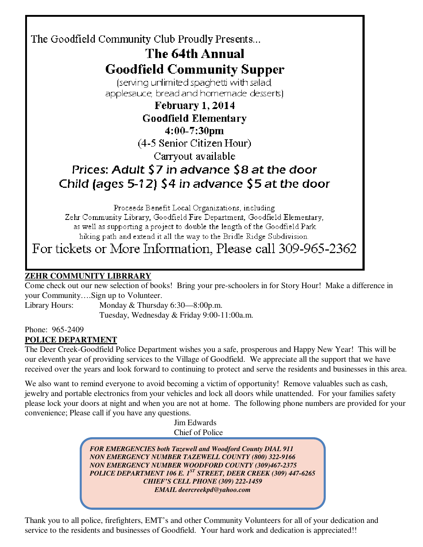## The Goodfield Community Club Proudly Presents... The 64th Annual **Goodfield Community Supper** (serving unlimited spaghetti with salad, applesauce, bread and homemade desserts). February 1, 2014 **Goodfield Elementary** 4:00-7:30pm

(4-5 Senior Citizen Hour)

Carryout available

# Prices: Adult \$7 in advance \$8 at the door Child (ages 5-12) \$4 in advance \$5 at the door

Proceeds Benefit Local Organizations, including

Zehr Community Library, Goodfield Fire Department, Goodfield Elementary, as well as supporting a project to double the length of the Goodfield Park. hiking path and extend it all the way to the Bridle Ridge Subdivision.

For tickets or More Information, Please call 309-965-2362

## **ZEHR COMMUNITY LIBRRARY**

Come check out our new selection of books! Bring your pre-schoolers in for Story Hour! Make a difference in your Community….Sign up to Volunteer.

Library Hours: Monday & Thursday 6:30—8:00p.m. Tuesday, Wednesday & Friday 9:00-11:00a.m.

Phone: 965-2409

### **POLICE DEPARTMENT**

The Deer Creek-Goodfield Police Department wishes you a safe, prosperous and Happy New Year! This will be our eleventh year of providing services to the Village of Goodfield. We appreciate all the support that we have received over the years and look forward to continuing to protect and serve the residents and businesses in this area.

We also want to remind everyone to avoid becoming a victim of opportunity! Remove valuables such as cash, jewelry and portable electronics from your vehicles and lock all doors while unattended. For your families safety please lock your doors at night and when you are not at home. The following phone numbers are provided for your convenience; Please call if you have any questions.

 Jim Edwards Chief of Police

*FOR EMERGENCIES both Tazewell and Woodford County DIAL 911 NON EMERGENCY NUMBER TAZEWELL COUNTY (800) 322-9166 NON EMERGENCY NUMBER WOODFORD COUNTY (309)467-2375 POLICE DEPARTMENT 106 E. 1ST STREET, DEER CREEK (309) 447-6265 CHIEF'S CELL PHONE (309) 222-1459 EMAIL deercreekpd@yahoo.com* 

Thank you to all police, firefighters, EMT's and other Community Volunteers for all of your dedication and service to the residents and businesses of Goodfield. Your hard work and dedication is appreciated!!